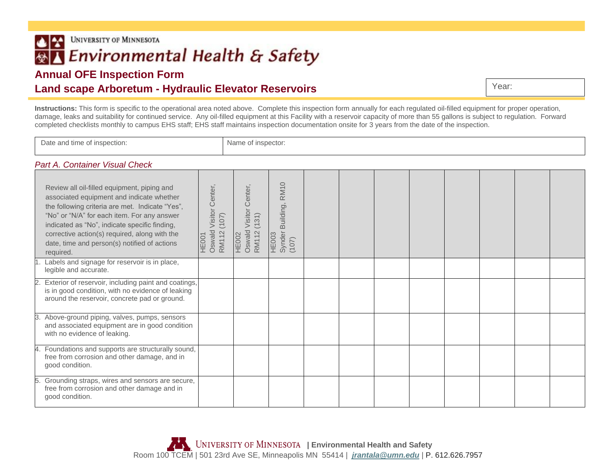**UNIVERSITY OF MINNESOTA**  $| \cdot |$ Environmental Health & Safety

## **Annual OFE Inspection Form**

## **Land scape Arboretum - Hydraulic Elevator Reservoirs**

**Instructions:** This form is specific to the operational area noted above. Complete this inspection form annually for each regulated oil-filled equipment for proper operation, damage, leaks and suitability for continued service. Any oil-filled equipment at this Facility with a reservoir capacity of more than 55 gallons is subject to regulation. Forward completed checklists monthly to campus EHS staff; EHS staff maintains inspection documentation onsite for 3 years from the date of the inspection.

| Date and time of inspection:                                                                                                                                                                                                                                                                                                                              |                                                  | Name of inspector:                                         |                                              |  |  |  |  |  |  |  |  |  |
|-----------------------------------------------------------------------------------------------------------------------------------------------------------------------------------------------------------------------------------------------------------------------------------------------------------------------------------------------------------|--------------------------------------------------|------------------------------------------------------------|----------------------------------------------|--|--|--|--|--|--|--|--|--|
| Part A. Container Visual Check                                                                                                                                                                                                                                                                                                                            |                                                  |                                                            |                                              |  |  |  |  |  |  |  |  |  |
| Review all oil-filled equipment, piping and<br>associated equipment and indicate whether<br>the following criteria are met. Indicate "Yes",<br>"No" or "N/A" for each item. For any answer<br>indicated as "No", indicate specific finding,<br>corrective action(s) required, along with the<br>date, time and person(s) notified of actions<br>required. | Oswald Visitor Center<br>(107)<br>RM112<br>HE001 | <b>Visitor Center</b><br>(131)<br>HE002<br>Oswald<br>RM112 | Building, RM10<br>HE003<br>Synder I<br>(107) |  |  |  |  |  |  |  |  |  |
| Labels and signage for reservoir is in place,<br>legible and accurate.                                                                                                                                                                                                                                                                                    |                                                  |                                                            |                                              |  |  |  |  |  |  |  |  |  |
| Exterior of reservoir, including paint and coatings,<br>is in good condition, with no evidence of leaking<br>around the reservoir, concrete pad or ground.                                                                                                                                                                                                |                                                  |                                                            |                                              |  |  |  |  |  |  |  |  |  |
| Above-ground piping, valves, pumps, sensors<br>and associated equipment are in good condition<br>with no evidence of leaking.                                                                                                                                                                                                                             |                                                  |                                                            |                                              |  |  |  |  |  |  |  |  |  |
| Foundations and supports are structurally sound,<br>free from corrosion and other damage, and in<br>good condition.                                                                                                                                                                                                                                       |                                                  |                                                            |                                              |  |  |  |  |  |  |  |  |  |
| 5. Grounding straps, wires and sensors are secure,<br>free from corrosion and other damage and in<br>good condition.                                                                                                                                                                                                                                      |                                                  |                                                            |                                              |  |  |  |  |  |  |  |  |  |

Year: